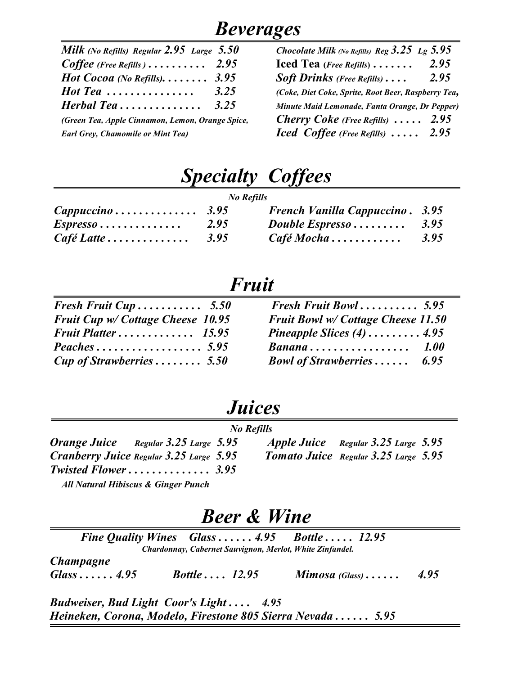### *Beverages*

| Milk (No Refills) Regular $2.95$ Large $5.50$                               | Chocolate Milk (No Refills) Reg $3.25$ Lg $5.95$         |
|-----------------------------------------------------------------------------|----------------------------------------------------------|
| Coffee (Free Refills) $\ldots \ldots \ldots$ 2.95                           | 2.95<br>Iced Tea ( <i>Free Refills</i> ) $\ldots \ldots$ |
| Hot Cocoa (No Refills) $3.95$                                               | 2.95<br><b>Soft Drinks</b> (Free Refills) $\ldots$       |
| 3.25<br>$\boldsymbol{\mathit{Hot}\,\mathit{Tea}\,\ldots\ldots\ldots\ldots}$ | (Coke, Diet Coke, Sprite, Root Beer, Raspberry Te        |
| 3.25<br>Herbal Tea                                                          | Minute Maid Lemonade, Fanta Orange, Dr Peppe             |
| (Green Tea, Apple Cinnamon, Lemon, Orange Spice,                            | <b>Cherry Coke</b> (Free Refills) $\ldots$ 2.95          |
| <b>Earl Grey, Chamomile or Mint Tea)</b>                                    | <b>Iced</b> Coffee (Free Refills) $\ldots$ 2.95          |

| Milk (No Refills) Regular 2.95 Large 5.50            | Chocolate Milk (No Refills) Reg $3.25$ Lg $5.95$         |
|------------------------------------------------------|----------------------------------------------------------|
| $Coffee$ (Free Refills) 2.95                         | 2.95<br>Iced Tea ( <i>Free Refills</i> ) $\ldots \ldots$ |
| Hot Cocoa (No Refills) $3.95$                        | <b>Soft Drinks</b> (Free Refills) $\ldots$<br>2.95       |
| Hot Tea $\,\ldots\ldots\ldots\ldots\ldots\,$<br>3.25 | (Coke, Diet Coke, Sprite, Root Beer, Raspberry Tea,      |
| Herbal Tea $3.25$                                    | Minute Maid Lemonade, Fanta Orange, Dr Pepper)           |
| (Green Tea, Apple Cinnamon, Lemon, Orange Spice,     | <b>Cherry Coke</b> (Free Refills) $\ldots$ 2.95          |
| <b>Earl Grey, Chamomile or Mint Tea)</b>             | Iced Coffee (Free Refills) $\ldots$ 2.95                 |

### *Specialty Coffees*

| <b>No Refills</b>                             |      |                                             |      |
|-----------------------------------------------|------|---------------------------------------------|------|
| $Cappuccino \ldots \ldots \ldots \ldots 3.95$ |      | <b>French Vanilla Cappuccino. 3.95</b>      |      |
| $Espresso \ldots \ldots \ldots \ldots$        | 2.95 | Double Espresso $\ldots \ldots \ldots$ 3.95 |      |
| $Caf\acute{e}$ Latte                          | 3.95 | $Caf\acute{e} Mocha \ldots \ldots \ldots$   | 3.95 |

### *Fruit*

| Fresh Fruit Cup $5.50$            | Fresh Fruit Bowl $5.95$                          |
|-----------------------------------|--------------------------------------------------|
| Fruit Cup w/ Cottage Cheese 10.95 | Fruit Bowl w/ Cottage Cheese 11.50               |
|                                   | Pineapple Slices $(4)$ 4.95                      |
|                                   | $Banana \ldots \ldots \ldots \ldots \ldots 1.00$ |
| <b>Cup of Strawberries  5.50</b>  | <b>Bowl of Strawberries</b><br>6.95              |

### *Juices*

| <b>No Refills</b>                              |  |                            |  |
|------------------------------------------------|--|----------------------------|--|
| <b>Orange Juice</b> Regular 3.25 Large 5.95    |  | <b>Apple Juice</b> Regula  |  |
| Cranberry Juice Regular 3.25 Large 5.95        |  | <b>Tomato Juice</b> Regula |  |
| <b>Twisted Flower 3.95</b>                     |  |                            |  |
| <b>All Natural Hibiscus &amp; Ginger Punch</b> |  |                            |  |

*Orange Juice Regular 3.25 Large 5.95 Apple Juice Regular 3.25 Large 5.95 Cranberry Juice Regular 3.25 Large 5.95 Tomato Juice Regular 3.25 Large 5.95*

### *Beer & Wine*

*Fine Quality Wines Glass . . . . . . 4.95 Bottle . . . . . 12.95 Chardonnay, Cabernet Sauvignon, Merlot, White Zinfandel. Champagne Glass . . . . . . 4.95 Bottle . . . . 12.95 Mimosa (Glass) . . . . . . 4.95* 

*Budweiser, Bud Light Coor's Light . . . . 4.95 Heineken, Corona, Modelo, Firestone 805 Sierra Nevada . . . . . . 5.95*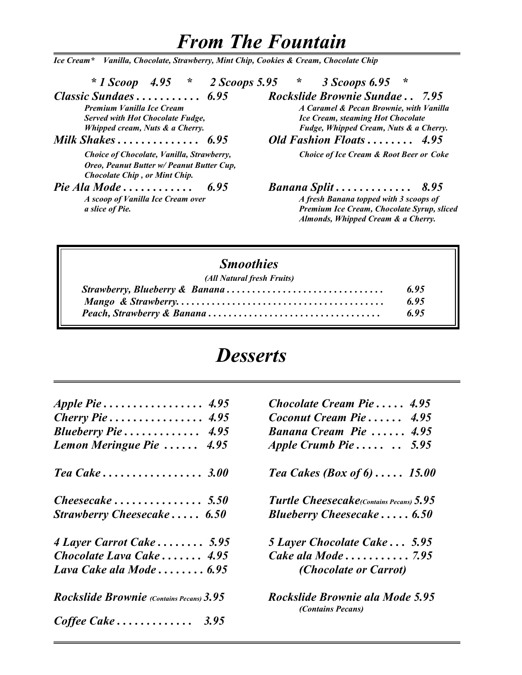### *From The Fountain*

*Ice Cream\* Vanilla, Chocolate, Strawberry, Mint Chip, Cookies & Cream, Chocolate Chip* 

 *\* 1 Scoop 4.95 \* 2 Scoops 5.95 \* 3 Scoops 6.95 \**

*Served with Hot Chocolate Fudge,*<br> *Ice Cream, steaming Hot Chocolate*<br> *Fudge, Whipped Cream, Nuts & a Cherry.*<br> *Fudge, Whipped Cream, Nuts & a Cherry.* 

 *Choice of Chocolate, Vanilla, Strawberry, Choice of Ice Cream & Root Beer or Coke Oreo, Peanut Butter w/ Peanut Butter Cup, Chocolate Chip , or Mint Chip.*

*Classic Sundaes . . . . . . . . . . . 6.95 Rockslide Brownie Sundae . . 7.95 Premium Vanilla Ice Cream A Caramel & Pecan Brownie, with Vanilla Whipped cream, Nuts & a Cherry. Fudge, Whipped Cream, Nuts & a Cherry.* 

*Milk Shakes . . . . . . . . . . . . . . 6.95 Old Fashion Floats . . . . . . . . 4.95* 

*Pie Ala Mode . . . . . . . . . . . . 6.95 Banana Split . . . . . . . . . . . . . 8.95*

*A scoop of Vanilla Ice Cream over* A fresh Banana topped with 3 scoops of *a slice of Pie. Premium Ice Cream, Chocolate Syrup, sliced Almonds, Whipped Cream & a Cherry.*

### *Smoothies*

| (All Natural fresh Fruits) |      |
|----------------------------|------|
|                            | 6.95 |
|                            | 6.95 |
|                            | 6.95 |

### *Desserts*

| Chocolate Cream Pie 4.95                             |
|------------------------------------------------------|
| Coconut Cream Pie<br>4.95                            |
| Banana Cream Pie  4.95                               |
| Apple Crumb Pie<br>5.95                              |
| Tea Cakes (Box of $6$ ) 15.00                        |
| <b>Turtle Cheesecake</b> (Contains Pecans) 5.95      |
| Blueberry Cheesecake $\ldots$ . 6.50                 |
| 5 Layer Chocolate Cake 5.95                          |
| Cake ala Mode 7.95                                   |
| <i>(Chocolate or Carrot)</i>                         |
| Rockslide Brownie ala Mode 5.95<br>(Contains Pecans) |
|                                                      |
|                                                      |

| Chocolate Cream Pie $4.95$                           |
|------------------------------------------------------|
| Coconut Cream Pie 4.95                               |
| Banana Cream Pie  4.95                               |
| Apple Crumb Pie $\ldots$<br>5.95                     |
| Tea Cakes (Box of $6$ ) 15.00                        |
| <b>Turtle Cheesecake</b> (Contains Pecans) 5.95      |
| <b>Blueberry Cheesecake 6.50</b>                     |
| 5 Layer Chocolate Cake 5.95                          |
| Cake ala Mode 7.95                                   |
| <i>(Chocolate or Carrot)</i>                         |
| Rockslide Brownie ala Mode 5.95<br>(Contains Pecans) |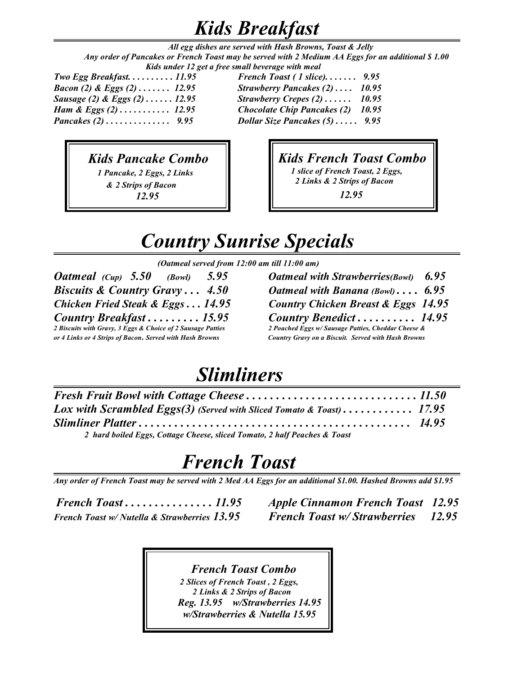### *Kids Breakfast*

 *All egg dishes are served with Hash Browns, Toast & Jelly Any order of Pancakes or French Toast may be served with 2 Medium AA Eggs for an additional \$ 1.00 Kids under 12 get a free small beverage with meal* 

*Two Egg Breakfast. . . . . . . . . . 11.95 French Toast ( 1 slice). . . . . . . 9.95*

*Bacon (2) & Eggs (2) . . . . . . . 12.95 Strawberry Pancakes (2) . . . . 10.95 Sausage (2) & Eggs (2) . . . . . . 12.95 Strawberry Crepes (2) . . . . . . 10.95 Ham & Eggs (2) . . . . . . . . . . . 12.95 Chocolate Chip Pancakes (2) 10.95 Pancakes (2) . . . . . . . . . . . . . . 9.95 Dollar Size Pancakes (5) . . . . . 9.95*

### *Kids Pancake Combo*

 *1 Pancake, 2 Eggs, 2 Links & 2 Strips of Bacon 12.95*

### *Kids French Toast Combo*

 *1 slice of French Toast, 2 Eggs, 2 Links & 2 Strips of Bacon*

 *12.95*

# *Country Sunrise Specials*

*(Oatmeal served from 12:00 am till 11:00 am)*

*Oatmeal (Cup) 5.50 (Bowl) 5.95 Oatmeal with Strawberries(Bowl) 6.95 Biscuits & Country Gravy . . . 4.50 Oatmeal with Banana (Bowl) . . . . 6.95 Country Breakfast* . . . . . . . . . 15.95 Country Benedict . . . . . . . . . . 14.95<br>
2 Biscuits with Gravy, 3 Eggs & Choice of 2 Sausage Patties 2 Poached Eggs w/Sausage Patties, Cheddar Cheese & *2 Biscuits with Gravy, 3 Eggs & Choice of 2 Sausage Patties 2 Poached Eggs w/ Sausage Patties, Cheddar Cheese & or 4 Links or 4 Strips of Bacon***.** *Served with Hash Browns Country Gravy on a Biscuit. Served with Hash Browns*

*Chicken Fried Steak & Eggs . . . 14.95 Country Chicken Breast & Eggs 14.95*

# *Slimliners*

| Lox with Scrambled Eggs(3) (Served with Sliced Tomato & Toast) 17.95      |  |
|---------------------------------------------------------------------------|--|
|                                                                           |  |
| 2 hard boiled Eggs, Cottage Cheese, sliced Tomato, 2 half Peaches & Toast |  |

# *French Toast*

*Any order of French Toast may be served with 2 Med AA Eggs for an additional \$1.00. Hashed Browns add \$1.95*

*French Toast w/ Nutella & Strawberries 13.95 French Toast w/ Strawberries 12.95*

*French Toast . . . . . . . . . . . . . . . 11.95 Apple Cinnamon French Toast 12.95*

 *French Toast Combo 2 Slices of French Toast , 2 Eggs, 2 Links & 2 Strips of Bacon Reg. 13.95 w/Strawberries 14.95 w/Strawberries & Nutella 15.95*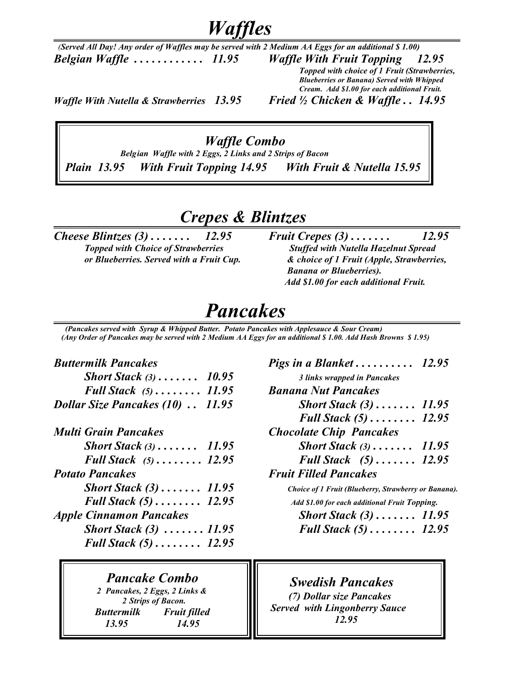*Waffles*

 *(Served All Day! Any order of Waffles may be served with 2 Medium AA Eggs for an additional \$ 1.00) Belgian Waffle . . . . . . . . . . . . 11.95 Waffle With Fruit Topping 12.95 Topped with choice of 1 Fruit (Strawberries,*

*Blueberries or Banana) Served with Whipped Cream. Add \$1.00 for each additional Fruit.* 

*Waffle With Nutella & Strawberries 13.95 Fried ½ Chicken & Waffle . . 14.95*

#### *Waffle Combo*

 *Belgian Waffle with 2 Eggs, 2 Links and 2 Strips of Bacon Plain 13.95 With Fruit Topping 14.95 With Fruit & Nutella 15.95*

### *Crepes & Blintzes*

*Cheese Blintzes (3)* . . . . . . . 12.95 *Fruit Crepes (3)* . . . . . . . 12.95 *<i>Topped with Choice of Strawberries Stuffed with Nutella Hazelnut Spread* 

 *Topped with Choice of Strawberries Stuffed with Nutella Hazelnut Spread or Blueberries. Served with a Fruit Cup. & choice of 1 Fruit (Apple, Strawberries, Banana or Blueberries). Add \$1.00 for each additional Fruit.*

### *Pancakes*

 *(Pancakes served with Syrup & Whipped Butter. Potato Pancakes with Applesauce & Sour Cream) (Any Order of Pancakes may be served with 2 Medium AA Eggs for an additional \$ 1.00. Add Hash Browns \$ 1.95)*

#### *Buttermilk Pancakes Pigs in a Blanket . . . . . . . . . . 12.95*

| <b>Short Stack</b> $(3)$ 10.95          | 3 links wrapped in Pancakes         |
|-----------------------------------------|-------------------------------------|
| Full Stack $(5)$ 11.95                  | <b>Banana Nut Pancakes</b>          |
| <b>Dollar Size Pancakes (10)  11.95</b> | <b>Short Stack <math>(3)</math></b> |

| Multi Grain Pancakes     |       |
|--------------------------|-------|
| <b>Short Stack</b> $(3)$ | 11.95 |

| <b>Full Stack</b> $(5)$ 12.95            | <b>Full Stack</b> (5).              |
|------------------------------------------|-------------------------------------|
| <b>Potato Pancakes</b>                   | <b>Fruit Filled Pancakes</b>        |
| Short Stack $(3)$ 11.95                  | Choice of 1 Fruit (Blueberry        |
| <b>Full Stack (5)  12.95</b>             | Add \$1.00 for each addition        |
| <b>Apple Cinnamon Pancakes</b>           | <b>Short Stack (3)</b>              |
| Short Stack $(3)$ 11.95                  | <b>Full Stack <math>(5)</math>.</b> |
| <b>Full Stack <math>(5)</math></b> 12.95 |                                     |

#### *Pancake Combo*

 *2 Pancakes, 2 Eggs, 2 Links & 2 Strips of Bacon. Buttermilk Fruit filled 13.95 14.95*

| <b>Buttermilk Pancakes</b>                  | Pigs in a Blanket $12.95$                            |  |
|---------------------------------------------|------------------------------------------------------|--|
| <b>Short Stack</b> $(3)$ 10.95              | 3 links wrapped in Pancakes                          |  |
| Full Stack $(5)$ 11.95                      | <b>Banana Nut Pancakes</b>                           |  |
| <b>Dollar Size Pancakes (10)  11.95</b>     | <b>Short Stack <math>(3)</math></b> 11.95            |  |
|                                             | <b>Full Stack <math>(5)</math></b> 12.95             |  |
| Multi Grain Pancakes                        | <b>Chocolate Chip Pancakes</b>                       |  |
| <b>Short Stack</b> $(3)$ , $\ldots$ , 11.95 | <b>Short Stack</b> $(3)$ 11.95                       |  |
| Full Stack $(5)$ 12.95                      | Full Stack $(5)$ 12.95                               |  |
| <b>Potato Pancakes</b>                      | <b>Fruit Filled Pancakes</b>                         |  |
| <i>Short Stack</i> $(3)$ 11.95              | Choice of 1 Fruit (Blueberry, Strawberry or Banana). |  |
| <b>Full Stack <math>(5)</math></b> 12.95    | Add \$1.00 for each additional Fruit Topping.        |  |
| <b>Apple Cinnamon Pancakes</b>              | <b>Short Stack <math>(3)</math></b> 11.95            |  |
|                                             |                                                      |  |

*Short Stack (3) . . . . . . . 11.95 Full Stack (5) . . . . . . . . 12.95*

 *Swedish Pancakes*

 *(7) Dollar size Pancakes Served with Lingonberry Sauce 12.95*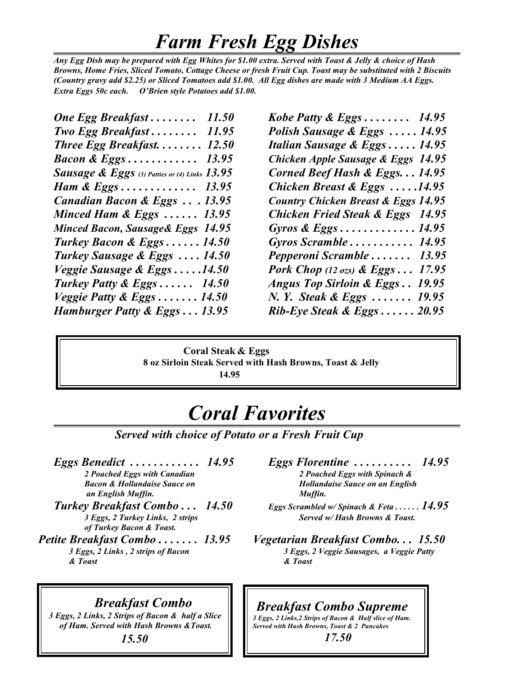### *Farm Fresh Egg Dishes*

*Any Egg Dish may be prepared with Egg Whites for \$1.00 extra. Served with Toast & Jelly & choice of Hash Browns, Home Fries, Sliced Tomato, Cottage Cheese or fresh Fruit Cup. Toast may be substituted with 2 Biscuits (Country gravy add \$2.25) or Sliced Tomatoes add \$1.00. All Egg dishes are made with 3 Medium AA Eggs. Extra Eggs 50c each. O'Brien style Potatoes add \$1.00.*

| One Egg Breakfast<br>11.50                      |
|-------------------------------------------------|
| <b>Two Egg Breakfast</b><br>11.95               |
| Three Egg Breakfast<br>12.50                    |
| <b>Bacon &amp; Eggs</b><br>13.95                |
| Sausage & Eggs (3) Patties or (4) Links $13.95$ |
| Ham & Eggs 13.95                                |
| Canadian Bacon & Eggs 13.95                     |
| Minced Ham & Eggs $\ldots$ . 13.95              |
| Minced Bacon, Sausage & Eggs 14.95              |
| Turkey Bacon & Eggs $14.50$                     |
| Turkey Sausage & Eggs  14.50                    |
| Veggie Sausage & Eggs14.50                      |
| Turkey Patty & Eggs $14.50$                     |
| Veggie Patty & Eggs 14.50                       |
| Hamburger Patty & Eggs 13.95                    |
|                                                 |

*Kobe Patty & Eggs* . . . . . . . . 14.95 *Polish Sausage & Eggs . . . . . 14.95 Halian Sausage & Eggs . . . . . 14.95 Bacon & Eggs . . . . . . . . . . . . 13.95 Chicken Apple Sausage & Eggs 14.95 Corned Beef Hash & Eggs. . . 14.95 Chicken Breast & Eggs .....14.95 Country Chicken Breast & Eggs 14.95 Chicken Fried Steak & Eggs 14.95 Minced Bacon, Sausage& Eggs 14.95 Gyros & Eggs . . . . . . . . . . . . . 14.95 Turkey Bacon & Eggs . . . . . . 14.50 Gyros Scramble . . . . . . . . . . . 14.95 Pepperoni Scramble . . . . . . . 13.95 Pork Chop (12 ozs)*  $\&$  *Eggs...* 17.95 *Turkey Patty & Eggs . . . . . . 14.50 Angus Top Sirloin & Eggs . . 19.95 N. Y. Steak & Eggs . . . . . . . 19.95 Hamburger Patty & Eggs . . . 13.95 Rib-Eye Steak & Eggs . . . . . . 20.95*

 **Coral Steak & Eggs 8 oz Sirloin Steak Served with Hash Browns, Toast & Jelly 14.95** 

### *Coral Favorites*

*Served with choice of Potato or a Fresh Fruit Cup*

 *an English Muffin. Muffin.*

- *of Turkey Bacon & Toast.*
- *& Toast & Toast*
- *Eggs Benedict* ............. 14.95 *Eggs Florentine* .......... 14.95 *Poached Eggs with Canadian 2 Poached Eggs with Spinach &* 2 Poached Eggs with Spinach & *Bacon & Hollandaise Sauce on Hollandaise Sauce on an English*
- *Turkey Breakfast Combo . . . 14.50 Eggs Scrambled w/ Spinach & Feta . . . . . . 14.95 3 Eggs, 2 Turkey Links, 2 strips Served w/ Hash Browns & Toast.*
- *Petite Breakfast Combo . . . . . . . 13.95 Vegetarian Breakfast Combo. . . 15.50 3 Eggs, 2 Links , 2 strips of Bacon 3 Eggs, 2 Veggie Sausages, a Veggie Patty*

#### *Breakfast Combo*

 *3 Eggs, 2 Links, 2 Strips of Bacon & half a Slice of Ham. Served with Hash Browns &Toast.* 

 *15.50*

#### *Breakfast Combo Supreme*

*3 Eggs, 2 Links,2 Strips of Bacon & Half slice of Ham. Served with Hash Browns, Toast & 2 Pancakes 17.50*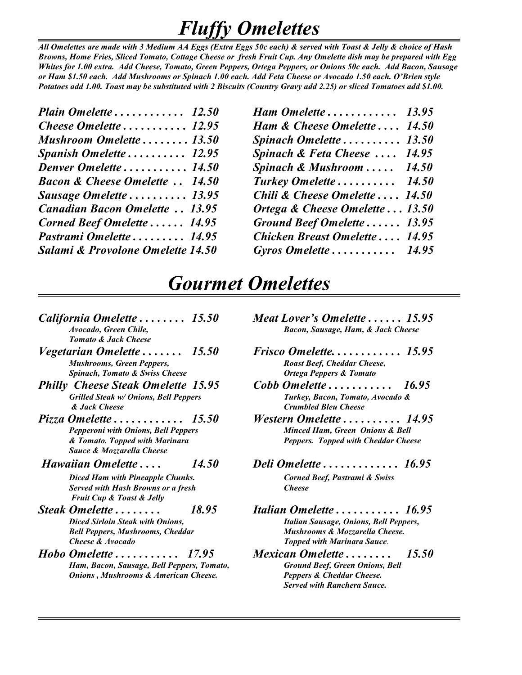### *Fluffy Omelettes*

*All Omelettes are made with 3 Medium AA Eggs (Extra Eggs 50c each) & served with Toast & Jelly & choice of Hash Browns, Home Fries, Sliced Tomato, Cottage Cheese or fresh Fruit Cup. Any Omelette dish may be prepared with Egg Whites for 1.00 extra. Add Cheese, Tomato, Green Peppers, Ortega Peppers, or Onions 50c each. Add Bacon, Sausage or Ham \$1.50 each. Add Mushrooms or Spinach 1.00 each. Add Feta Cheese or Avocado 1.50 each. O'Brien style Potatoes add 1.00. Toast may be substituted with 2 Biscuits (Country Gravy add 2.25) or sliced Tomatoes add \$1.00.* 

| Plain Omelette 12.50                      |  |
|-------------------------------------------|--|
| Cheese Omelette 12.95                     |  |
| Mushroom Omelette 13.50                   |  |
| Spanish Omelette 12.95                    |  |
| Denver Omelette 14.50                     |  |
| <b>Bacon &amp; Cheese Omelette  14.50</b> |  |
| Sausage Omelette  13.95                   |  |
| <b>Canadian Bacon Omelette  13.95</b>     |  |
| Corned Beef Omelette  14.95               |  |
| Pastrami Omelette 14.95                   |  |
| Salami & Provolone Omelette 14.50         |  |
|                                           |  |

*Plain Omelette . . . . . . . . . . . . 12.50 Ham Omelette . . . . . . . . . . . . 13.95 Cheese Omelette . . . . . . . . . . . 12.95 Ham & Cheese Omelette . . . . 14.50 Mushroom Omelette . . . . . . . . 13.50 Spinach Omelette . . . . . . . . . . 13.50 Spinach & Feta Cheese ....* 14.95 *Denver Omelette . . . . . . . . . . . 14.50 Spinach & Mushroom . . . . . 14.50 Bacon & Cheese Omelette . . 14.50 Turkey Omelette . . . . . . . . . . 14.50 Sausage Omelette . . . . . . . . . . 13.95 Chili & Cheese Omelette . . . . 14.50 Canadian Bacon Omelette . . 13.95 Ortega & Cheese Omelette . . . 13.50 Corned Beef Omelette . . . . . . 14.95 Ground Beef Omelette . . . . . . 13.95 Pastrami Omelette . . . . . . . . . 14.95 Chicken Breast Omelette . . . . 14.95 Salami & Provolone Omelette 14.50 Gyros Omelette . . . . . . . . . . . 14.95*

### *Gourmet Omelettes*

- *Tomato & Jack Cheese*
- *Mushrooms, Green Peppers,*  $\qquad \qquad$  *Roast Beef, Cheddar Cheese,*
- *Philly Cheese Steak Omelette 15.95 Cobb Omelette . . . . . . . . . . . 16.95 Grilled Steak w/ Onions, Bell Peppers & Jack Cheese Crumbled Bleu Cheese*
- *Pizza Omelette . . . . . . . . . . . . 15.50 Western Omelette . . . . . . . . . . 14.95 Sauce & Mozzarella Cheese*
- *Diced Ham with Pineapple Chunks. Corned Beef, Pastrami & Swiss Served with Hash Browns or a fresh Cheese*

 *Fruit Cup & Toast & Jelly*

- *Cheese & Avocado Topped with Marinara Sauce*.
- *Hobo Omelette . . . . . . . . . . . 17.95 Mexican Omelette . . . . . . . . 15.50 Ham, Bacon, Sausage, Bell Peppers, Tomato, Ground Beef, Green Onions, Bell Onions , Mushrooms & American Cheese. Peppers & Cheddar Cheese.*
- *California Omelette . . . . . . . . 15.50 Meat Lover's Omelette . . . . . . 15.95 Avocado, Green Chile, Bacon, Sausage, Ham, & Jack Cheese*
- *Vegetarian Omelette . . . . . . . 15.50 Frisco Omelette. . . . . . . . . . . . 15.95 Spinach, Tomato & Swiss Cheese Ortega Peppers & Tomato*
	-
	- *Pepperoni with Onions, Bell Peppers Minced Ham, Green Onions & Bell & Tomato. Topped with Marinara Peppers. Topped with Cheddar Cheese*
- *Hawaiian Omelette . . . . 14.50 Deli Omelette . . . . . . . . . . . . . 16.95*
- *Steak Omelette* . . . . . . . . . . 18.95 *Italian Omelette* . . . . . . . . . . . 16.95<br>Diced Sirloin Steak with Onions, **Italian Sausage, Onions, Bell Peppers**, *Diced Sirloin Steak with Onions, Italian Sausage, Onions, Bell Peppers, Bell Peppers, Mushrooms, Cheddar Mushrooms & Mozzarella Cheese.*
	- *Served with Ranchera Sauce.*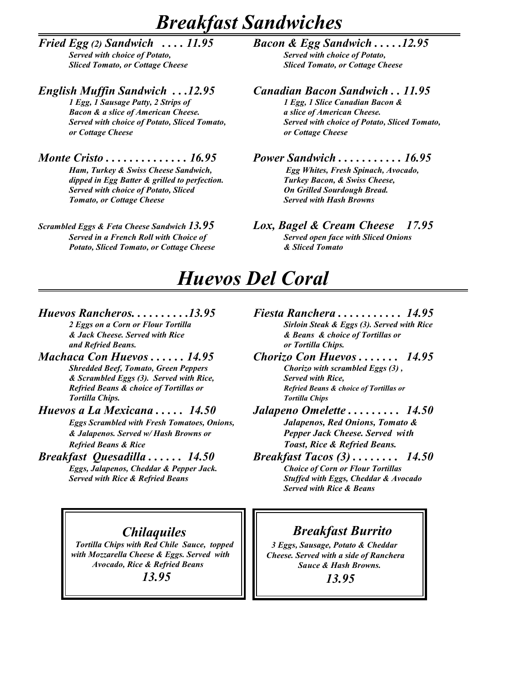### *Breakfast Sandwiches*

*Fried Egg (2) Sandwich . . . . 11.95 Bacon & Egg Sandwich . . . . .12.95 Sliced Tomato, or Cottage Cheese Sliced Tomato, or Cottage Cheese* 

*1 Egg, 1 Sausage Patty, 2 Strips of 1 Egg, 1 Slice Canadian Bacon & Bacon & a slice of American Cheese.* **a** *a slice of American Cheese. or Cottage Cheese or Cottage Cheese* 

*Ham, Turkey & Swiss Cheese Sandwich, Egg Whites, Fresh Spinach, Avocado, dipped in Egg Batter & grilled to perfection. Turkey Bacon, & Swiss Cheese,*  **Served with choice of Potato, Sliced** *Tomato, or Cottage Cheese Served with Hash Browns*

*Served in a French Roll with Choice of Served open face with Sliced Onions Potato, Sliced Tomato, or Cottage Cheese & Sliced Tomato*

# **Served with choice of Potato,**

#### *English Muffin Sandwich . . .12.95 Canadian Bacon Sandwich . . 11.95*

*Served with choice of Potato, Sliced Tomato, Served with choice of Potato, Sliced Tomato,*

#### *Monte Cristo . . . . . . . . . . . . . . 16.95 Power Sandwich . . . . . . . . . . . 16.95*

#### *Scrambled Eggs & Feta Cheese Sandwich 13.95 Lox, Bagel & Cream Cheese 17.95*

### *Huevos Del Coral*

# *and Refried Beans. or Tortilla Chips.*

- *& Scrambled Eggs (3). Served with Rice, Served with Rice, Tortilla Chips. Tortilla Chips*
- 

*Refried Beans & Rice Toast, Rice & Refried Beans.*

*Eggs, Jalapenos, Cheddar & Pepper Jack. Served with Rice & Refried Beans* 

- *Huevos Rancheros.* . . . . . . . . . . 13.95<br>*2 Eggs on a Corn or Flour Tortilla Fiesta Ranchera . . . . . . . . . . . . . 14.95<br><i>Sirloin Steak & Eggs (3). Served with Rice 2 Sirloin Steak & Eggs (3). Served with Rice & Jack Cheese. Served with Rice & Beans & choice of Tortillas or*
- *Machaca Con Huevos . . . . . . 14.95 Chorizo Con Huevos . . . . . . . 14.95 Shredded Beef, Tomato, Green Peppers Chorizo with scrambled Eggs (3) , Refried Beans & choice of Tortillas or Refried Beans & choice of Tortillas or*
- *Huevos a La Mexicana . . . . . 14.50 Jalapeno Omelette . . . . . . . . . 14.50 Eggs Scrambled with Fresh Tomatoes, Onions, Jalapenos, Red Onions, Tomato & & Jalapenos. Served w/ Hash Browns or Pepper Jack Cheese. Served with*
- *Breakfast Quesadilla . . . . . . 14.50 Breakfast Tacos (3) . . . . . . . . 14.50 Served with Rice & Refried Beans Stuffed with Eggs, Cheddar & Avocado Served with Rice & Beans*

#### *Chilaquiles*

 *Tortilla Chips with Red Chile Sauce, topped with Mozzarella Cheese & Eggs. Served with Avocado, Rice & Refried Beans 13.95*

#### *Breakfast Burrito*

 *3 Eggs, Sausage, Potato & Cheddar Cheese. Served with a side of Ranchera Sauce & Hash Browns.* 

 *13.95*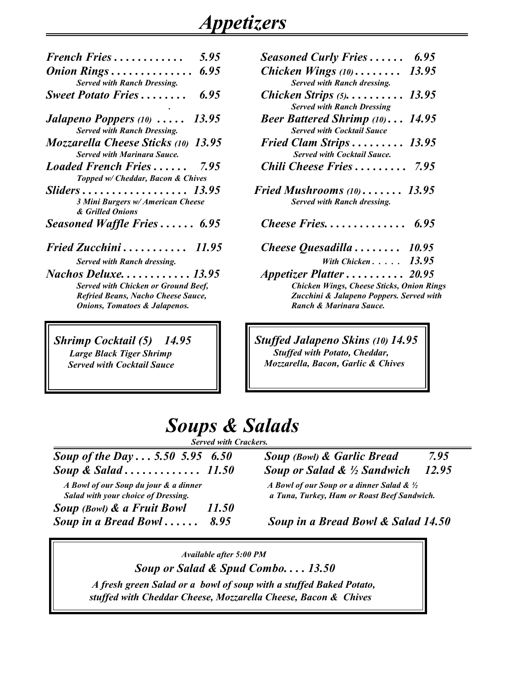### *Appetizers*

| 5.95<br>French Fries                                                                 | <b>Seasoned Curly Fries</b>                                            |
|--------------------------------------------------------------------------------------|------------------------------------------------------------------------|
| <b>Served with Ranch Dressing.</b>                                                   | Chicken Wings $(10)$<br>Served with Ranch dressing.                    |
| <b>Sweet Potato Fries</b><br>6.95                                                    | Chicken Strips $(5)$<br><b>Served with Ranch Dressing</b>              |
| <b>Jalapeno Poppers</b> (10) $\ldots$<br>13.95<br><b>Served with Ranch Dressing.</b> | <b>Beer Battered Shrimp (10).</b><br><b>Served with Cocktail Sauce</b> |
| Mozzarella Cheese Sticks (10) 13.95<br><b>Served with Marinara Sauce.</b>            | <b>Fried Clam Strips</b><br><b>Served with Cocktail Sauce.</b>         |
| <b>Loaded French Fries</b><br>7.95<br>Topped w/ Cheddar, Bacon & Chives              | <b>Chili Cheese Fries</b>                                              |
| Sliders 13.95<br>3 Mini Burgers w/ American Cheese<br>& Grilled Onions               | Fried Mushrooms $(10)$<br>Served with Ranch dressing.                  |
| Seasoned Waffle Fries 6.95                                                           | Cheese Fries                                                           |
|                                                                                      |                                                                        |

*Nachos Deluxe.* . . . . . . . . . . . *13.95 Served with Chicken or Ground Beef, Chicken Wings, Cheese Sticks, Onion Rings Refried Beans, Nacho Cheese Sauce, Zucchini & Jalapeno Poppers. Served with Onions, Tomatoes & Jalapenos. Calculary <b>Ranch & Marinara Sauce. Ranch & Marinara Sauce.* 

*Shrimp Cocktail (5) 14.95 Large Black Tiger Shrimp Served with Cocktail Sauce*

| 5.95<br><b>French Fries</b>                                                   | 6.95<br><b>Seasoned Curly Fries</b>                                                                                                 |
|-------------------------------------------------------------------------------|-------------------------------------------------------------------------------------------------------------------------------------|
| 6.95<br><i>Onion Rings</i><br><b>Served with Ranch Dressing.</b>              | 13.95<br>Chicken Wings $(10)$<br>Served with Ranch dressing.                                                                        |
| <b>Sweet Potato Fries</b><br>6.95                                             | Chicken Strips $(5)$ 13.95<br><b>Served with Ranch Dressing</b>                                                                     |
| Jalapeno Poppers (10)<br>13.95<br><b>Served with Ranch Dressing.</b>          | <b>Beer Battered Shrimp</b> $(10) \ldots$ 14.95<br><b>Served with Cocktail Sauce</b>                                                |
| Mozzarella Cheese Sticks (10) 13.95<br><b>Served with Marinara Sauce.</b>     | Fried Clam Strips $13.95$<br><b>Served with Cocktail Sauce.</b>                                                                     |
| <b>Loaded French Fries</b><br>7.95<br>Topped w/ Cheddar, Bacon & Chives       | <b>Chili Cheese Fries</b><br>7.95                                                                                                   |
| Sliders 13.95<br>3 Mini Burgers w/ American Cheese<br>& Grilled Onions        | Fried Mushrooms $(10)$ 13.95<br>Served with Ranch dressing.                                                                         |
| Seasoned Waffle Fries $\ldots \ldots 6.95$                                    |                                                                                                                                     |
| <b>Fried Zucchini</b> 11.95                                                   | Cheese Quesadilla $\ldots \ldots \ldots$ 10.95                                                                                      |
| Served with Ranch dressing.                                                   | With Chicken $13.95$                                                                                                                |
| Nachos Deluxe. 13.95<br>$\alpha$ $\alpha$ $\alpha$ $\alpha$ $\alpha$ $\alpha$ | Appetizer Platter  20.95<br>$\alpha \cdot \mathbf{1}$ $\alpha \cdot \mathbf{1}$ $\alpha \cdot \mathbf{1}$ $\alpha \cdot \mathbf{1}$ |

*Stuffed Jalapeno Skins (10) 14.95 Stuffed with Potato, Cheddar, Mozzarella, Bacon, Garlic & Chives* 

### *Soups & Salads*

 *Served with Crackers.* 

| Soup of the Day $5.50$ 5.95 6.50      |       |
|---------------------------------------|-------|
| Soup & Salad $11.50$                  |       |
| A Bowl of our Soup du jour & a dinner |       |
| Salad with your choice of Dressing.   |       |
| <b>Soup (Bowl) &amp; a Fruit Bowl</b> | 11.50 |
| Soup in a Bread Bowl                  | 8.95  |

*Soup (Bowl)* & *Garlic Bread* 7.95 *Soup or Salad & ½ Sandwich 12.95* 

 *A Bowl of our Soup du jour & a dinner A Bowl of our Soup or a dinner Salad & ½ a Tuna, Turkey, Ham or Roast Beef Sandwich.* 

**Soup in a Bread Bowl & Salad 14.50** 

#### *Available after 5:00 PM*

 *Soup or Salad & Spud Combo. . . . 13.50*

 *A fresh green Salad or a bowl of soup with a stuffed Baked Potato, stuffed with Cheddar Cheese, Mozzarella Cheese, Bacon & Chives*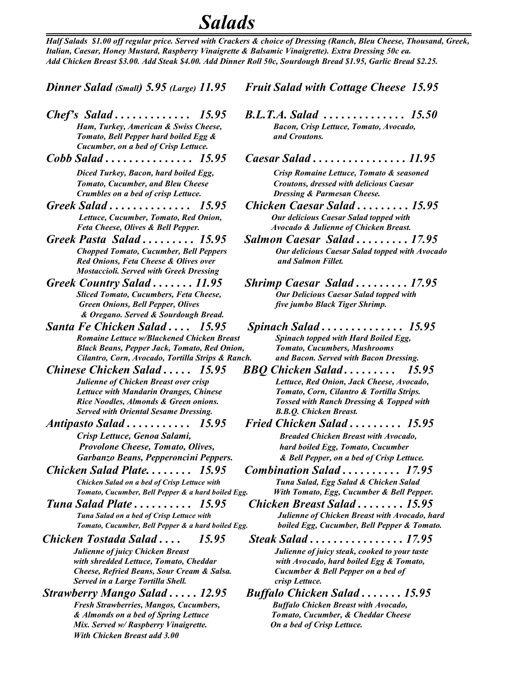### *Salads*

*Half Salads \$1.00 off regular price. Served with Crackers & choice of Dressing (Ranch, Bleu Cheese, Thousand, Greek, Italian, Caesar, Honey Mustard, Raspberry Vinaigrette & Balsamic Vinaigrette). Extra Dressing 50c ea. Add Chicken Breast \$3.00. Add Steak \$4.00. Add Dinner Roll 50c, Sourdough Bread \$1.95, Garlic Bread \$2.25.*

- *Ham, Turkey, American & Swiss Cheese, Tomato, Bell Pepper hard boiled Egg & and Croutons. Cucumber, on a bed of Crisp Lettuce.*
- *Tomato, Cucumber, and Bleu Cheese Croutons, dressed with delicious Caesar Crumbles on a bed of crisp Lettuce. Dressing & Parmesan Cheese. Crumbles on a bed of crisp Lettuce.*
- *Lettuce, Cucumber, Tomato, Red Onion,*
- *Red Onions, Feta Cheese & Olives over and Salmon Fillet. Mostaccioli. Served with Greek Dressing*
- *Sliced Tomato, Cucumbers, Feta Cheese, Green Onions, Bell Pepper, Olives & Oregano. Served & Sourdough Bread.*
- *Santa Fe Chicken Salad . . . . 15.95 Spinach Salad . . . . . . . . . . . . . . 15.95 Romaine Lettuce w/Blackened Chicken Breast Black Beans, Pepper Jack, Tomato, Red Onion, Tomato, Cucumbers, Mushrooms Cilantro, Corn, Avocado, Tortilla Strips & Ranch. and Bacon. Served with Bacon Dressing.*
- *Served with Oriental Sesame Dressing. B.B.Q. Chicken Breast.*
- 
- *Chicken Salad Plate. . . . . . . . 15.95 Combination Salad . . . . . . . . . . 17.95 Chicken Salad on a bed of Crisp Lettuce with*
- *Tuna Salad Plate . . . . . . . . . . 15.95 Chicken Breast Salad . . . . . . . . 15.95 Tomato, Cucumber, Bell Pepper & a hard boiled Egg.*
- 

*Cheese, Refried Beans, Sour Cream & Salsa. Cucumber & Bell Pepper on a bed of* **Served in a Large Tortilla Shell.** Comparent and the crisp Lettuce.

*Strawberry Mango Salad . . . . . 12.95 Buffalo Chicken Salad . . . . . . . 15.95 Fresh Strawberries, Mangos, Cucumbers, Mix. Served w/ Raspberry Vinaigrette. On a bed of Crisp Lettuce. With Chicken Breast add 3.00* 

*Dinner Salad (Small) 5.95 (Large) 11.95 Fruit Salad with Cottage Cheese 15.95*

- *Chef's* Salad **.** . . . . . . . . . . . . . 15.95 B.L.T.A. Salad **.** . . . . . . . . . . . . . . 15.50<br>Ham, Turkey, American & Swiss Cheese, Bacon, Crisp Lettuce, Tomato, Avocado,
- *Cobb Salad . . . . . . . . . . . . . . . 15.95 Caesar Salad . . . . . . . . . . . . . . . . 11.95 Diced Turkey, Bacon, hard boiled Egg, Crisp Romaine Lettuce, Tomato & seasoned*
- *Greek Salad . . . . . . . . . . . . . . 15.95 Chicken Caesar Salad . . . . . . . . . 15.95 Feta Cheese, Olives & Bell Pepper. Avocado & Julienne of Chicken Breast.*
- *Greek Pasta Salad . . . . . . . . . 15.95 Salmon Caesar Salad . . . . . . . . . 17.95 Chopped Tomato, Cucumber, Bell Peppers Our delicious Caesar Salad topped with Avocado*
- *Greek Country Salad* . . . . . . . 11.95 Shrimp Caesar Salad . . . . . . . . . 17.95<br>Sliced Tomato, Cucumbers, Feta Cheese, *Dur Delicious Caesar Salad topped with Green Onions, Bell Pepper, Olives five jumbo Black Tiger Shrimp.*
	-
- *Chinese Chicken Salad . . . . . 15.95 BBQ Chicken Salad . . . . . . . . . 15.95 Julienne of Chicken Breast over crisp Lettuce, Red Onion, Jack Cheese, Avocado, Lettuce with Mandarin Oranges, Chinese Tomato, Corn, Cilantro & Tortilla Strips. Rice Noodles, Almonds & Green onions. Tossed with Ranch Dressing & Topped with*
- *Antipasto Salad . . . . . . . . . . . 15.95 Fried Chicken Salad . . . . . . . . . 15.95 Crisp Lettuce, Genoa Salami, Breaded Chicken Breast with Avocado, Provolone Cheese, Tomato, Olives, hard boiled Egg, Tomato, Cucumber Garbanzo Beans, Pepperoncini Peppers. & Bell Pepper, on a bed of Crisp Lettuce.*
	- *Tomato, Cucumber, Bell Pepper & a hard boiled Egg. With Tomato, Egg, Cucumber & Bell Pepper.*
		- *<i>Julienne of Chicken Breast with* Avocado, hard<br>boiled Egg, Cucumber, Bell Pepper & Tomato.
- *Chicken Tostada Salad . . . . 15.95 Steak Salad . . . . . . . . . . . . . . . . 17.95 Julienne of juicy Chicken Breast Julienne of juicy steak, cooked to your taste with shredded Lettuce, Tomato, Cheddar with Avocado, hard boiled Egg & Tomato,*
	- *& Almonds on a bed of Spring Lettuce Tomato, Cucumber, & Cheddar Cheese*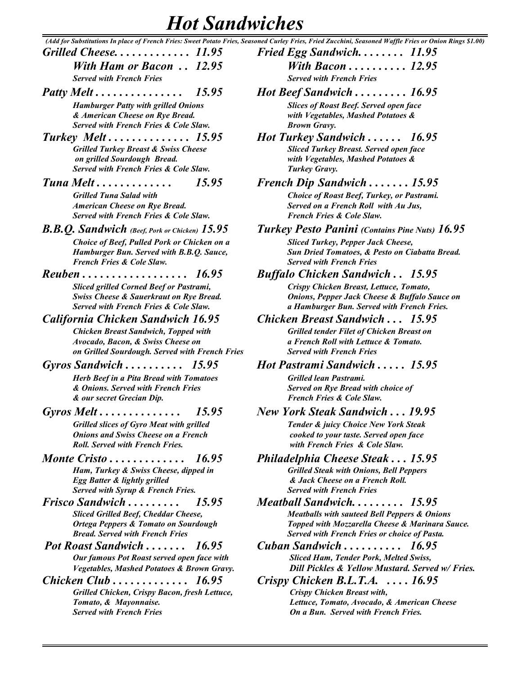### *Hot Sandwiches*

 *(Add for Substitutions In place of French Fries: Sweet Potato Fries, Seasoned Curley Fries, Fried Zucchini, Seasoned Waffle Fries or Onion Rings \$1.00) Grilled Cheese. . . . . . . . . . . . . 11.95 Fried Egg Sandwich. . . . . . . . 11.95 With Ham or Bacon . . 12.95 With Bacon . . . . . . . . . . 12.95 Served with French Fries* 

- *Patty Melt*  $\dots \dots \dots \dots \dots \dots \dots \dots \dots \dots \dots \dots \dots$  15.95 *Hamburger Patty with grilled Onions & American Cheese on Rye Bread. with Vegetables, Mashed Potatoes & Served with French Fries & Cole Slaw.*
- *Turkey Melt . . . . . . . . . . . . . . 15.95 Hot Turkey Sandwich . . . . . . 16.95*  **Grilled Turkey Breast & Swiss Cheese**  $on$  grilled Sourdough Bread. *Served with French Fries & Cole Slaw.*
- *Tuna Melt . . . . . . . . . . . . . 15.95 French Dip Sandwich . . . . . . . 15.95 Grilled Tuna Salad with <i>American Cheese on Rye Bread. Served with French Fries & Cole Slaw. French Fries & Cole Slaw.*
- *B.B.Q. Sandwich (Beef, Pork or Chicken)* 15.95 *Choice of Beef, Pulled Pork or Chicken on a Hamburger Bun. Served with B.B.O. Sauce, French Fries & Cole Slaw.*
- *Reuben . . . . . . . . . . . . . . . . . . 16.95 Buffalo Chicken Sandwich . . 15.95*

*Sliced grilled Corned Beef or Pastrami, Swiss Cheese & Sauerkraut on Rye Bread. Served with French Fries & Cole Slaw.* 

#### *California Chicken Sandwich 16.95 Chicken Breast Sandwich . . . 15.95*

*Chicken Breast Sandwich, Topped with Avocado, Bacon, & Swiss Cheese on a French Roll with Lettuce & Tomato. on Grilled Sourdough. Served with French Fries Served with French Fries*

*Gyros Sandwich . . . . . . . . . . 15.95 Hot Pastrami Sandwich . . . . . 15.95* 

*Herb Beef in a Pita Bread with Tomatoes*  $&$  Onions. Served with French Fries  $&$  our secret Grecian Dip.

- *Gyros Melt . . . . . . . . . . . . . . 15.95 New York Steak Sandwich . . . 19.95 Grilled slices of Gyro Meat with grilled Onions and Swiss Cheese on a French Roll. Served with French Fries.*
- *Monte Cristo* . . . . . . . . . . . . . 16.95 *Ham, Turkey & Swiss Cheese, dipped in Egg Batter & lightly grilled Served with Syrup & French Fries. Served with French Fries*
- *Frisco Sandwich . . . . . . . . . 15.95 Meatball Sandwich. . . . . . . . . 15.95 Sliced Grilled Beef, Cheddar Cheese,* **Ortega Peppers & Tomato on Sourdough** *Bread. Served with French Fries Served with French Fries or choice of Pasta.*
- *Pot Roast Sandwich . . . . . . . 16.95 Cuban Sandwich . . . . . . . . . . 16.95 Our famous Pot Roast served open face with Vegetables, Mashed Potatoes & Brown Gravy.*
- *Grilled Chicken, Crispy Bacon, fresh Lettuce, Crispy Chicken Breast with, Served with French Fries On a Bun. Served with French Fries.*

|    | ca Carley I Hes, I Hea Zacemmi, Scasonca 11 affic I Hes of Onton Ring                            |
|----|--------------------------------------------------------------------------------------------------|
|    | Fried Egg Sandwich $11.95$                                                                       |
|    | With Bacon $12.95$                                                                               |
|    | <b>Served with French Fries</b>                                                                  |
|    | Hot Beef Sandwich  16.95                                                                         |
|    | <b>Slices of Roast Beef. Served open face</b>                                                    |
|    | with Vegetables, Mashed Potatoes &                                                               |
|    | <b>Brown Gravy.</b>                                                                              |
|    | Hot Turkey Sandwich  16.95<br><b>Sliced Turkey Breast. Served open face</b>                      |
|    | with Vegetables, Mashed Potatoes &                                                               |
|    | Turkey Gravy.                                                                                    |
|    | French Dip Sandwich $\ldots \ldots 15.95$                                                        |
|    | Choice of Roast Beef, Turkey, or Pastrami.                                                       |
|    | Served on a French Roll with Au Jus,<br>French Fries & Cole Slaw.                                |
|    |                                                                                                  |
|    | <b>Turkey Pesto Panini</b> (Contains Pine Nuts) 16.95                                            |
|    | <b>Sliced Turkey, Pepper Jack Cheese,</b><br>Sun Dried Tomatoes, & Pesto on Ciabatta Bread.      |
|    | <b>Served with French Fries</b>                                                                  |
|    | <b>Buffalo Chicken Sandwich  15.95</b>                                                           |
|    | Crispy Chicken Breast, Lettuce, Tomato,                                                          |
|    | Onions, Pepper Jack Cheese & Buffalo Sauce on<br>a Hamburger Bun. Served with French Fries.      |
|    | <b>Chicken Breast Sandwich  15.95</b>                                                            |
|    | <b>Grilled tender Filet of Chicken Breast on</b>                                                 |
|    | a French Roll with Lettuce & Tomato.                                                             |
| es | <b>Served with French Fries</b>                                                                  |
|    | Hot Pastrami Sandwich  15.95                                                                     |
|    | Grilled lean Pastrami.                                                                           |
|    | Served on Rye Bread with choice of<br><b>French Fries &amp; Cole Slaw.</b>                       |
|    | <b>New York Steak Sandwich  19.95</b>                                                            |
|    | Tender & juicy Choice New York Steak                                                             |
|    | cooked to your taste. Served open face                                                           |
|    | with French Fries & Cole Slaw.                                                                   |
|    | Philadelphia Cheese Steak  15.95                                                                 |
|    | <b>Grilled Steak with Onions, Bell Peppers</b>                                                   |
|    | & Jack Cheese on a French Roll.<br><b>Served with French Fries</b>                               |
|    | Meatball Sandwich 15.95                                                                          |
|    | <b>Meatballs with sauteed Bell Peppers &amp; Onions</b>                                          |
|    | Topped with Mozzarella Cheese & Marinara Sauce.                                                  |
|    | Served with French Fries or choice of Pasta.                                                     |
|    | Cuban Sandwich $\ldots \ldots \ldots$ 16.95                                                      |
|    | <b>Sliced Ham, Tender Pork, Melted Swiss,</b><br>Dill Pickles & Yellow Mustard. Served w/ Fries. |
|    |                                                                                                  |

*Chicken Club . . . . . . . . . . . . . 16.95 Crispy Chicken B.L.T.A. . . . . 16.95 Tomato, & Mayonnaise. Lettuce, Tomato, Avocado, & American Cheese*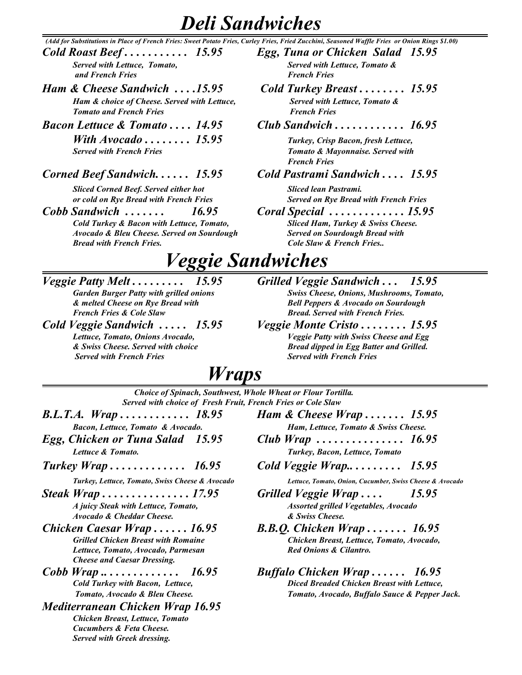### *Deli Sandwiches*

 *(Add for Substitutions in Place of French Fries: Sweet Potato Fries, Curley Fries, Fried Zucchini, Seasoned Waffle Fries or Onion Rings \$1.00)*

 *and French Fries French Fries*

- *Ham & Cheese Sandwich . . . .15.95 Cold Turkey Breast . . . . . . . . 15.95 Ham & choice of Cheese. Served with Lettuce, Served with Lettuce, Tomato & Tomato and French Fries French Fries <i>French Fries*
- *With Avocado . . . . . . . . 15.95 Turkey, Crisp Bacon, fresh Lettuce, Served with French Fries Tomato & Mayonnaise. Served with*

#### *Corned Beef Sandwich. . . . . . 15.95 Cold Pastrami Sandwich . . . . 15.95*

 *Sliced Corned Beef. Served either hot Sliced lean Pastrami.* 

*Cobb Sandwich . . . . . . . 16.95 Coral Special . . . . . . . . . . . . . 15.95* 

 *Avocado & Bleu Cheese. Served on Sourdough Served on Sourdough Bread with Bread with French Fries. Cole Slaw & French Fries..*

- *Cold Roast Beef . . . . . . . . . . . 15.95 Egg, Tuna or Chicken Salad 15.95 Served with Lettuce, Tomato, Served with Lettuce, Tomato &*
	-
- *Bacon Lettuce & Tomato . . . . 14.95 Club Sandwich . . . . . . . . . . . . 16.95*

 *French Fries* 

 *or cold on Rye Bread with French Fries Served on Rye Bread with French Fries* 

*Cold Turkey & Bacon with Lettuce, Tomato, Sliced Ham, Turkey & Swiss Cheese.* 

### *Veggie Sandwiches*

*French Fries & Cole Slaw Bread. Served with French Fries.*

*Veggie Patty Melt . . . . . . . . . 15.95 Grilled Veggie Sandwich . . . 15.95*

- *Garden Burger Patty with grilled onions Swiss Cheese, Onions, Mushrooms, Tomato, & melted Cheese on Rye Bread with Bell Peppers & Avocado on Sourdough*
- *Cold Veggie Sandwich . . . . . 15.95 Veggie Monte Cristo . . . . . . . . 15.95 Lettuce, Tomato, Onions Avocado, Veggie Patty with Swiss Cheese and Egg & Swiss Cheese. Served with choice Bread dipped in Egg Batter and Grilled. Served with French Fries Served with French Fries*

### *Wraps*

*Choice of Spinach, Southwest, Whole Wheat or Flour Tortilla. Served with choice of Fresh Fruit, French Fries or Cole Slaw*

- *Bacon, Lettuce, Tomato & Avocado. Ham, Lettuce, Tomato & Swiss Cheese.*
- *Lettuce & Tomato. Turkey, Bacon, Lettuce, Tomato*
- 

- *Avocado & Cheddar Cheese. & Swiss Cheese.*
- *Lettuce, Tomato, Avocado, Parmesan Red Onions & Cilantro. Cheese and Caesar Dressing.*
- 
- *Mediterranean Chicken Wrap 16.95 Chicken Breast, Lettuce, Tomato Cucumbers & Feta Cheese. Served with Greek dressing.*
- *B.L.T.A. Wrap . . . . . . . . . . . . 18.95 Ham & Cheese Wrap . . . . . . . 15.95*
- *Egg, Chicken or Tuna Salad 15.95 Club Wrap . . . . . . . . . . . . . . . 16.95*
- *Turkey Wrap . . . . . . . . . . . . . 16.95 Cold Veggie Wrap.. . . . . . . . . 15.95*

 *Turkey, Lettuce, Tomato, Swiss Cheese & Avocado Lettuce, Tomato, Onion, Cucumber, Swiss Cheese & Avocado* 

- *Steak Wrap . . . . . . . . . . . . . . . 17.95 Grilled Veggie Wrap . . . . 15.95 A juicy Steak with Lettuce, Tomato, Assorted grilled Vegetables, Avocado*
- *Chicken Caesar Wrap*  $\dots$ . 16.95<br>*Grilled Chicken Breast with Romaine B.B.Q. Chicken Wrap*  $\dots$ . 16.95 *Grilled Chicken Breast with Romaine Chicken Breast, Lettuce, Tomato, Avocado,*
- *Cobb Wrap .. . . . . . . . . . . . . 16.95 Buffalo Chicken Wrap . . . . . . 16.95 Cold Turkey with Bacon, Lettuce, Diced Breaded Chicken Breast with Lettuce, Tomato, Avocado & Bleu Cheese. Tomato, Avocado, Buffalo Sauce & Pepper Jack.*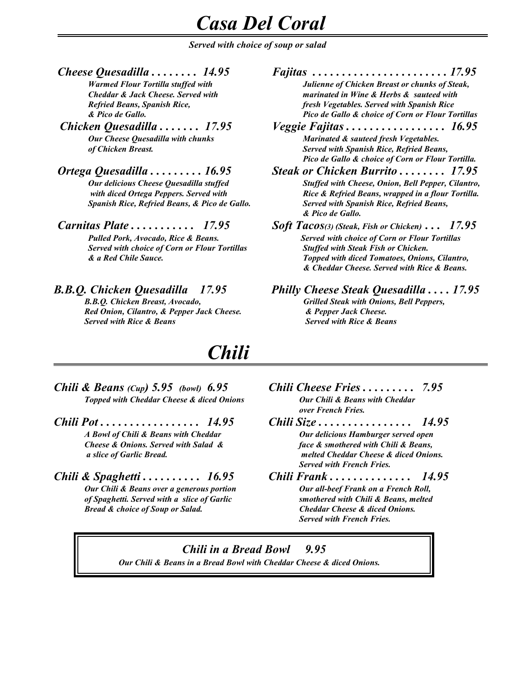### *Casa Del Coral*

 *Served with choice of soup or salad*

*Cheese Quesadilla . . . . . . . . 14.95 Fajitas . . . . . . . . . . . . . . . . . . . . . . . 17.95*

**Served with choice of Corn or Flour Tortillas** 

*Red Onion, Cilantro, & Pepper Jack Cheese. & Pepper Jack Cheese. Served with Rice & Beans Served with Rice & Beans*

*Chili*

- *Chili & Beans (Cup) 5.95 (bowl) 6.95 Chili Cheese Fries . . . . . . . . . 7.95 Topped with Cheddar Cheese & diced Onions Our Chili & Beans with Cheddar*
- *Chili Pot . . . . . . . . . . . . . . . . . 14.95 Chili Size . . . . . . . . . . . . . . . . 14.95*
- *Chili & Spaghetti . . . . . . . . . . 16.95 Chili Frank . . . . . . . . . . . . . . 14.95 Bread & choice of Soup or Salad. Cheddar Cheese & diced Onions.*
- *over French Fries.*
- *A Bowl of Chili & Beans with Cheddar Our delicious Hamburger served open Cheese & Onions. Served with Salad & face & smothered with Chili & Beans, a slice of Garlic Bread. melted Cheddar Cheese & diced Onions. Served with French Fries.*
	- *Our Chili & Beans over a generous portion Our all-beef Frank on a French Roll, of Spaghetti. Served with a slice of Garlic smothered with Chili & Beans, melted Served with French Fries.*

*Chili in a Bread Bowl 9.95 Our Chili & Beans in a Bread Bowl with Cheddar Cheese & diced Onions.*

 *Warmed Flour Tortilla stuffed with Julienne of Chicken Breast or chunks of Steak, Cheddar & Jack Cheese. Served with marinated in Wine & Herbs & sauteed with Refried Beans, Spanish Rice, fresh Vegetables. Served with Spanish Rice & Pico de Gallo. Pico de Gallo & choice of Corn or Flour Tortillas*

*Chicken Quesadilla . . . . . . . 17.95 Veggie Fajitas . . . . . . . . . . . . . . . . . 16.95 Our Cheese Quesadilla with chunks* Marinated & sauteed fresh Vegetables.  *of Chicken Breast. Served with Spanish Rice, Refried Beans, Pico de Gallo & choice of Corn or Flour Tortilla.*

- *Ortega Quesadilla . . . . . . . . . 16.95 Steak or Chicken Burrito . . . . . . . . 17.95 <i>Our delicious Cheese Quesadilla stuffed <i>Stuffed with Cheese, Onion, Bell Pepper, Cilantro,**Cheese <i>Onion, Bell Pepper, Cilantro, with diced Ortega Peppers. Served with* Rice & Refried Beans, wrapped in a flour Tortilla. *Spanish Rice, Refried Beans, & Pico de Gallo. Served with Spanish Rice, Refried Beans, & Pico de Gallo.*
- *Carnitas Plate . . . . . . . . . . . 17.95 Soft Tacos(3) (Steak, Fish or Chicken) . . . 17.95 Pulled Pork, Avocado, Rice & Beans.* Served with choice of Corn or Flour Tortillas<br>Served with choice of Corn or Flour Tortillas Stuffed with Steak Fish or Chicken. *& a Red Chile Sauce. Topped with diced Tomatoes, Onions, Cilantro, & Cheddar Cheese. Served with Rice & Beans.*
- *B.B.Q. Chicken Quesadilla 17.95 Philly Cheese Steak Quesadilla . . . . 17.95 B.B.Q. Chicken Breast, Avocado, Grilled Steak with Onions, Bell Peppers,*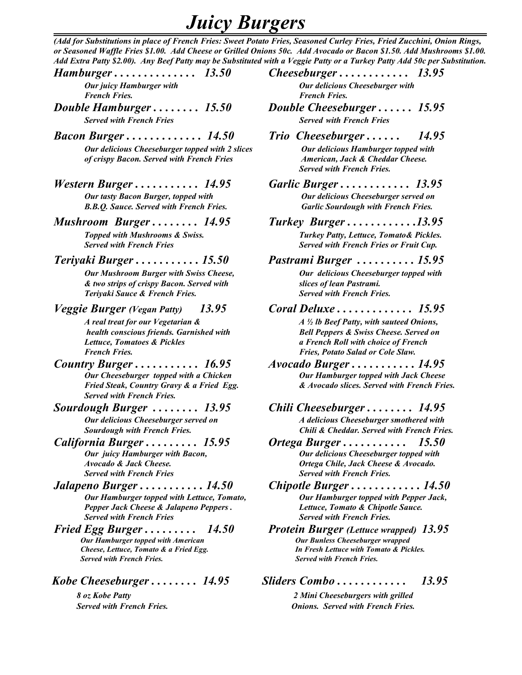### *Juicy Burgers*

*(Add for Substitutions in place of French Fries: Sweet Potato Fries, Seasoned Curley Fries, Fried Zucchini, Onion Rings, or Seasoned Waffle Fries \$1.00. Add Cheese or Grilled Onions 50c. Add Avocado or Bacon \$1.50. Add Mushrooms \$1.00. Add Extra Patty \$2.00). Any Beef Patty may be Substituted with a Veggie Patty or a Turkey Patty Add 50c per Substitution.*

*Hamburger . . . . . . . . . . . . . . 13.50 Cheeseburger . . . . . . . . . . . . 13.95 Our juicy Hamburger with*  $Q$ *ur delicious Cheeseburger with* 

*Double Hamburger . . . . . . . . 15.50 Double Cheeseburger . . . . . . 15.95 Served with French Fries Served with French Fries <i>Served with French Fries* 

 *of crispy Bacon. Served with French Fries American, Jack & Cheddar Cheese.*

*Western Burger . . . . . . . . . . . 14.95 Garlic Burger . . . . . . . . . . . . 13.95*

**B.B.Q. Sauce. Served with French Fries.** 

*Mushroom Burger . . . . . . . . 14.95 Turkey Burger . . . . . . . . . . . .13.95* 

 *Served with French Fries Served with French Fries or Fruit Cup.*

*Teriyaki Burger . . . . . . . . . . . 15.50 Pastrami Burger . . . . . . . . . . 15.95* 

*Our Mushroom Burger with Swiss Cheese, <b>Our delicious Cheeseburger topped with & two strips of crispy Bacon. Served with slices of lean Pastrami. Teriyaki Sauce & French Fries. Served with French Fries.* 

*Veggie Burger (Vegan Patty) 13.95 Coral Deluxe . . . . . . . . . . . . . 15.95* 

*Country Burger . . . . . . . . . . . 16.95 Avocado Burger . . . . . . . . . . . 14.95 Served with French Fries.*

- 
- 

*Jalapeno Burger . . . . . . . . . . . 14.50 Chipotle Burger . . . . . . . . . . . . 14.50* **Our Hamburger topped with Lettuce, Tomato,** *Pepper Jack Cheese & Jalapeno Peppers . Lettuce, Tomato & Chipotle Sauce. Served with French Fries Served with French Fries.*

*Cheese, Lettuce, Tomato & a Fried Egg. Served with French Fries. Served with French Fries.*

 *French Fries. French Fries.*

- 
- *Bacon Burger . . . . . . . . . . . . . 14.50 Trio Cheeseburger . . . . . . 14.95 <i>Our delicious Cheeseburger topped with 2 slices Our delicious Hamburger topped with Served with French Fries.*
	- *Our tasty Bacon Burger, topped with Our delicious Cheeseburger served on B.B.Q. Sauce. Served with French Fries. Garlic Sourdough with French Fries.*

 *Topped with Mushrooms & Swiss. Turkey Patty, Lettuce, Tomato& Pickles.* 

 *A real treat for our Vegetarian & A ½ lb Beef Patty, with sauteed Onions, health conscious friends. Garnished with Bell Peppers & Swiss Cheese. Served on*<br>Lettuce, Tomatoes & Pickles *a French Roll with choice of French Lettuce, Tomatoes & Pickles a French Roll with choice of French French Fries. Fries, Potato Salad or Cole Slaw.*

*Our Cheeseburger topped with a Chicken Our Hamburger topped with Jack Cheese Fried Steak, Country Gravy & a Fried Egg. & Avocado slices. Served with French Fries.*

*Sourdough Burger . . . . . . . . 13.95 Chili Cheeseburger . . . . . . . . 14.95 Our delicious Cheeseburger served on A delicious Cheeseburger smothered with Sourdough with French Fries. Chili & Cheddar. Served with French Fries.* 

*California Burger . . . . . . . . . 15.95 Ortega Burger . . . . . . . . . . . 15.50 Our delicious Cheeseburger topped with Avocado & Jack Cheese. Ortega Chile, Jack Cheese & Avocado. Served with French Fries.* 

*Fried Egg Burger . . . . . . . . . 14.50 Protein Burger (Lettuce wrapped) 13.95 Our Hamburger topped with American Our Bunless Cheeseburger wrapped*

 *Kobe Cheeseburger . . . . . . . . 14.95 Sliders Combo . . . . . . . . . . . . 13.95* 

 *8 oz Kobe Patty 2 Mini Cheeseburgers with grilled Served with French Fries. Onions. Served with French Fries.*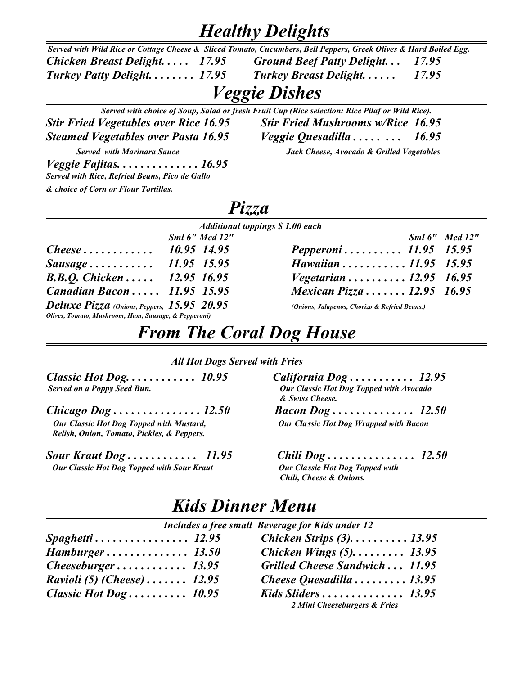### *Healthy Delights*

| Served with Wild Rice or Cottage Cheese & Sliced Tomato, Cucumbers, Bell Peppers, Greek Olives & Hard Boiled Egg. |                                 |       |
|-------------------------------------------------------------------------------------------------------------------|---------------------------------|-------|
| Chicken Breast Delight 17.95                                                                                      | Ground Beef Patty Delight 17.95 |       |
| Turkey Patty Delight $17.95$                                                                                      | <b>Turkey Breast Delight</b>    | 17.95 |

### *Veggie Dishes*

|                                                | Served with choice of Soup, Salad or fresh Fruit Cup (Rice selection: Rice Pilaf or Wild Rice). |
|------------------------------------------------|-------------------------------------------------------------------------------------------------|
| <b>Stir Fried Vegetables over Rice 16.95</b>   | <b>Stir Fried Mushrooms w/Rice 16.95</b>                                                        |
| <b>Steamed Vegetables over Pasta 16.95</b>     | <i>Veggie Quesadilla</i> 16.95                                                                  |
| <b>Served with Marinara Sauce</b>              | Jack Cheese, Avocado & Grilled Vegetables                                                       |
|                                                |                                                                                                 |
| Served with Rice, Refried Beans, Pico de Gallo |                                                                                                 |
| & choice of Corn or Flour Tortillas.           |                                                                                                 |

### *Pizza*

|                                                      | <b>Additional toppings \$1.00 each</b>        |  |
|------------------------------------------------------|-----------------------------------------------|--|
| Sml 6" Med 12"                                       | Sml 6" Med 12                                 |  |
| Cheese $10.95$ 14.95                                 | Pepperoni 11.95 15.95                         |  |
| Sausage 11.95 15.95                                  | Hawaiian  11.95 15.95                         |  |
| <b>B.B.O.</b> Chicken  12.95 16.95                   | <i>Vegetarian</i> 12.95 16.95                 |  |
| <b>Canadian Bacon</b> 11.95 15.95                    | Mexican Pizza  12.95 16.95                    |  |
| Deluxe Pizza (Onions, Peppers, 15.95 20.95           | (Onions, Jalapenos, Chorizo & Refried Beans.) |  |
| Olives, Tomato, Mushroom, Ham, Sausage, & Pepperoni) |                                               |  |

|                               | Sml 6" Med 12" |
|-------------------------------|----------------|
| Pepperoni 11.95 15.95         |                |
| Hawaiian 11.95 15.95          |                |
| <i>Vegetarian</i> 12.95 16.95 |                |
| Mexican Pizza 12.95 16.95     |                |
|                               |                |

### *From The Coral Dog House*

#### *All Hot Dogs Served with Fries*

| <b>Served on a Poppy Seed Bun.</b> |  |
|------------------------------------|--|

| Our Classic Hot Dog Topped with Mustard,   |  |
|--------------------------------------------|--|
| Relish, Onion, Tomato, Pickles, & Peppers. |  |

*Sour Kraut Dog . . . . . . . . . . . . 11.95 Chili Dog . . . . . . . . . . . . . . . 12.50 Our Classic Hot Dog Topped with Sour Kraut Our Classic Hot Dog Topped with* 

#### *Classic Hot Dog. . . . . . . . . . . . 10.95 California Dog . . . . . . . . . . . 12.95 Our Classic Hot Dog Topped with Avocado & Swiss Cheese. Chicago Dog . . . . . . . . . . . . . . . 12.50 Bacon Dog . . . . . . . . . . . . . . 12.50 Our Classic Hot Dog Wrapped with Bacon*

 *Chili, Cheese & Onions.*

### *Kids Dinner Menu*

| Includes a free small Beverage for Kids under 12 |  |                                |  |
|--------------------------------------------------|--|--------------------------------|--|
| $S$ paghetti 12.95                               |  | Chicken Strips $(3)$ 13.95     |  |
|                                                  |  | Chicken Wings $(5)$ 13.95      |  |
|                                                  |  | Grilled Cheese Sandwich  11.95 |  |
| <i>Ravioli (5) (Cheese)</i> $12.95$              |  | Cheese Quesadilla  13.95       |  |
| Classic Hot Dog $10.95$                          |  | Kids Sliders $13.95$           |  |
|                                                  |  | 2 Mini Cheeseburgers & Fries   |  |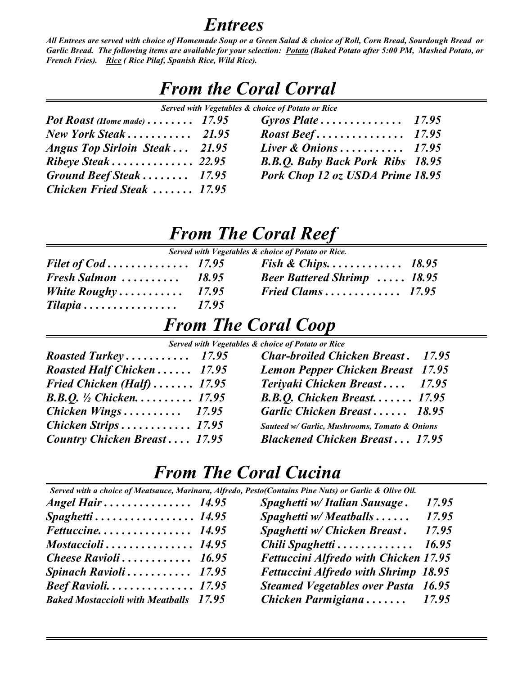### *Entrees*

*All Entrees are served with choice of Homemade Soup or a Green Salad & choice of Roll, Corn Bread, Sourdough Bread or Garlic Bread. The following items are available for your selection: Potato (Baked Potato after 5:00 PM, Mashed Potato, or French Fries). Rice ( Rice Pilaf, Spanish Rice, Wild Rice).* 

| <b>From the Coral Corral</b><br>Served with Vegetables & choice of Potato or Rice |                                         |  |
|-----------------------------------------------------------------------------------|-----------------------------------------|--|
|                                                                                   |                                         |  |
| New York Steak $\dots \dots \dots \dots$ 21.95                                    |                                         |  |
| Angus Top Sirloin Steak 21.95                                                     | Liver & Onions $17.95$                  |  |
| Ribeye Steak  22.95                                                               | <b>B.B.Q. Baby Back Pork Ribs</b> 18.95 |  |
| Ground Beef Steak  17.95                                                          | Pork Chop 12 oz USDA Prime 18.95        |  |
| <b>Chicken Fried Steak  17.95</b>                                                 |                                         |  |

### *From The Coral Reef*

|  | Served with Vegetables & choice of Potato or Rice. |
|--|----------------------------------------------------|
|  |                                                    |

|                                                         | <i>Fish &amp; Chips</i> 18.95     |  |
|---------------------------------------------------------|-----------------------------------|--|
| Fresh Salmon $\ldots \ldots \ldots$ 18.95               | <b>Beer Battered Shrimp</b> 18.95 |  |
| <i>White Roughy</i> $\ldots \ldots \ldots \ldots 17.95$ | Fried Clams $17.95$               |  |
| $Tilapia \ldots \ldots \ldots \ldots \ldots 17.95$      |                                   |  |
|                                                         |                                   |  |

### *From The Coral Coop*

 *Served with Vegetables & choice of Potato or Rice* 

| Roasted Turkey $17.95$                     | <b>Char-broiled Chicken Breast.</b> 17.95     |
|--------------------------------------------|-----------------------------------------------|
| <b>Roasted Half Chicken  17.95</b>         | <b>Lemon Pepper Chicken Breast 17.95</b>      |
| Fried Chicken (Half) $\ldots \ldots$ 17.95 | Teriyaki Chicken Breast 17.95                 |
| <b>B.B.Q.</b> $\frac{1}{2}$ Chicken 17.95  | $B.B.Q.$ Chicken Breast 17.95                 |
| Chicken Wings $17.95$                      | Garlic Chicken Breast 18.95                   |
|                                            | Sauteed w/ Garlic, Mushrooms, Tomato & Onions |
| <b>Country Chicken Breast 17.95</b>        | <b>Blackened Chicken Breast 17.95</b>         |

### *From The Coral Cucina*

| Served with a choice of Meatsauce, Marinara, Alfredo, Pesto(Contains Pine Nuts) or Garlic & Olive Oil. |  |                                              |       |
|--------------------------------------------------------------------------------------------------------|--|----------------------------------------------|-------|
| Angel Hair $\ldots$ 14.95                                                                              |  | Spaghetti w/ Italian Sausage.                | 17.95 |
| $S$ paghetti 14.95                                                                                     |  | Spaghetti w/ Meatballs $\dots$               | 17.95 |
|                                                                                                        |  | Spaghetti w/ Chicken Breast.                 | 17.95 |
| $Mostaccioli \ldots \ldots \ldots \ldots \ldots 14.95$                                                 |  | Chili Spaghetti                              | 16.95 |
| Cheese Ravioli 16.95                                                                                   |  | <b>Fettuccini Alfredo with Chicken 17.95</b> |       |
| Spinach Ravioli $\ldots \ldots \ldots$ 17.95                                                           |  | <b>Fettuccini Alfredo with Shrimp 18.95</b>  |       |
|                                                                                                        |  | <b>Steamed Vegetables over Pasta 16.95</b>   |       |
| <b>Baked Mostaccioli with Meatballs</b> 17.95                                                          |  | Chicken Parmigiana 17.95                     |       |